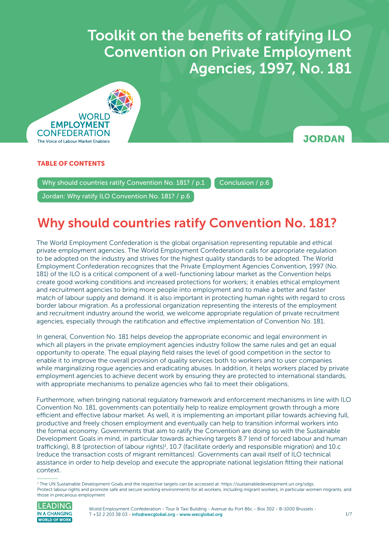Toolkit on the benefits of ratifying ILO Convention on Private Employment Agencies, 1997 **Convention on Private Employment** Toolkit on the benefits of ratifying ILO Agencies, 1997, No. 181



### **JORDAN**

### TABLE OF CONTENTS

Why should countries ratify Convention No. 181? / p.1 [Conclusion / p.6](#page-5-0)

[Jordan: Why ratify ILO Convention No. 181? / p.6](#page-5-0)

## Why should countries ratify Convention No. 181?

The World Employment Confederation is the global organisation representing reputable and ethical private employment agencies. The World Employment Confederation calls for appropriate regulation to be adopted on the industry and strives for the highest quality standards to be adopted. The World Employment Confederation recognizes that the Private Employment Agencies Convention, 1997 (No. 181) of the ILO is a critical component of a well-functioning labour market as the Convention helps create good working conditions and increased protections for workers; it enables ethical employment and recruitment agencies to bring more people into employment and to make a better and faster match of labour supply and demand. It is also important in protecting human rights with regard to cross border labour migration. As a professional organization representing the interests of the employment and recruitment industry around the world, we welcome appropriate regulation of private recruitment agencies, especially through the ratification and effective implementation of Convention No. 181.

In general, Convention No. 181 helps develop the appropriate economic and legal environment in which all players in the private employment agencies industry follow the same rules and get an equal opportunity to operate. The equal playing field raises the level of good competition in the sector to enable it to improve the overall provision of quality services both to workers and to user companies while marginalizing rogue agencies and eradicating abuses. In addition, it helps workers placed by private employment agencies to achieve decent work by ensuring they are protected to international standards, with appropriate mechanisms to penalize agencies who fail to meet their obligations.

Furthermore, when bringing national regulatory framework and enforcement mechanisms in line with ILO Convention No. 181, governments can potentially help to realize employment growth through a more efficient and effective labour market. As well, it is implementing an important pillar towards achieving full, productive and freely chosen employment and eventually can help to transition informal workers into the formal economy. Governments that aim to ratify the Convention are doing so with the Sustainable Development Goals in mind, in particular towards achieving targets 8.7 (end of forced labour and human trafficking), 8.8 (protection of labour rights)<sup>1</sup>, 10.7 (facilitate orderly and responsible migration) and 10.c (reduce the transaction costs of migrant remittances). Governments can avail itself of ILO technical assistance in order to help develop and execute the appropriate national legislation fitting their national context.

<sup>1</sup> The UN Sustainable Development Goals and the respective targets can be accessed at: <https://sustainabledevelopment.un.org/sdgs>. Protect labour rights and promote safe and secure working environments for all workers, including migrant workers, in particular women migrants, and those in precarious employment



World Employment Confederation - Tour & Taxi Building - Avenue du Port 86c - Box 302 - B-1000 Brussels -T +32 2 203 38 03 [- info@wecglobal.org](mailto:info%40wecglobal.org?subject=) - [www.wecglobal.org](http://www.wecglobal.org)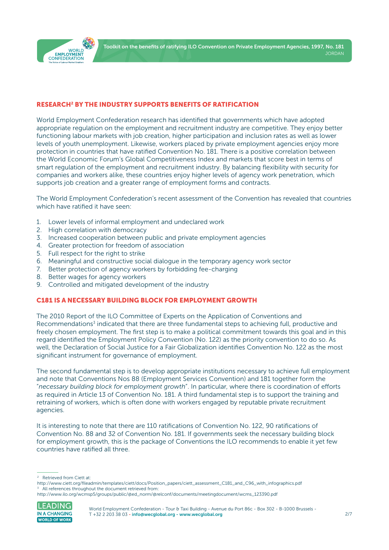

#### RESEARCH2 BY THE INDUSTRY SUPPORTS BENEFITS OF RATIFICATION

World Employment Confederation research has identified that governments which have adopted appropriate regulation on the employment and recruitment industry are competitive. They enjoy better functioning labour markets with job creation, higher participation and inclusion rates as well as lower levels of youth unemployment. Likewise, workers placed by private employment agencies enjoy more protection in countries that have ratified Convention No. 181. There is a positive correlation between the World Economic Forum's Global Competitiveness Index and markets that score best in terms of smart regulation of the employment and recruitment industry. By balancing flexibility with security for companies and workers alike, these countries enjoy higher levels of agency work penetration, which supports job creation and a greater range of employment forms and contracts.

The World Employment Confederation's recent assessment of the Convention has revealed that countries which have ratified it have seen:

- 1. Lower levels of informal employment and undeclared work
- 2. High correlation with democracy
- 3. Increased cooperation between public and private employment agencies
- 4. Greater protection for freedom of association
- 5. Full respect for the right to strike
- 6. Meaningful and constructive social dialogue in the temporary agency work sector
- 7. Better protection of agency workers by forbidding fee-charging
- 8. Better wages for agency workers
- 9. Controlled and mitigated development of the industry

#### C181 IS A NECESSARY BUILDING BLOCK FOR EMPLOYMENT GROWTH

The 2010 Report of the ILO Committee of Experts on the Application of Conventions and Recommendations<sup>3</sup> indicated that there are three fundamental steps to achieving full, productive and freely chosen employment. The first step is to make a political commitment towards this goal and in this regard identified the Employment Policy Convention (No. 122) as the priority convention to do so. As well, the Declaration of Social Justice for a Fair Globalization identifies Convention No. 122 as the most significant instrument for governance of employment.

The second fundamental step is to develop appropriate institutions necessary to achieve full employment and note that Conventions Nos 88 (Employment Services Convention) and 181 together form the "*necessary building block for employment growth*". In particular, where there is coordination of efforts as required in Article 13 of Convention No. 181. A third fundamental step is to support the training and retraining of workers, which is often done with workers engaged by reputable private recruitment agencies.

It is interesting to note that there are 110 ratifications of Convention No. 122, 90 ratifications of Convention No. 88 and 32 of Convention No. 181. If governments seek the necessary building block for employment growth, this is the package of Conventions the ILO recommends to enable it yet few countries have ratified all three.

[http://www.ilo.org/wcmsp5/groups/public/@ed\\_norm/@relconf/documents/meetingdocument/wcms\\_123390.pdf](http://www.ilo.org/wcmsp5/groups/public/@ed_norm/@relconf/documents/meetingdocument/wcms_123390.pdf)



<sup>2</sup> Retrieved from Ciett at:

[http://www.ciett.org/fileadmin/templates/ciett/docs/Position\\_papers/ciett\\_assessment\\_C181\\_and\\_C96\\_with\\_infographics.pdf](http://www.ciett.org/fileadmin/templates/ciett/docs/Position_papers/ciett_assessment_C181_and_C96_with_infographics.pdf) All references throughout the document retrieved from: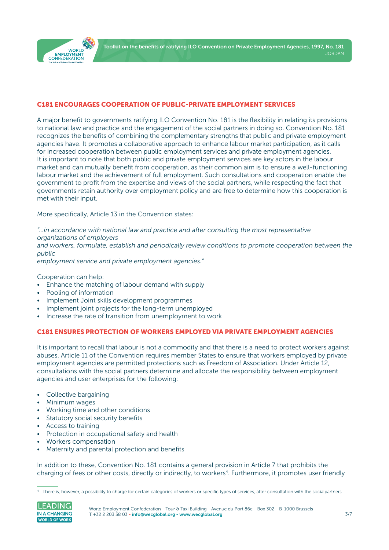

#### C181 ENCOURAGES COOPERATION OF PUBLIC-PRIVATE EMPLOYMENT SERVICES

A major benefit to governments ratifying ILO Convention No. 181 is the flexibility in relating its provisions to national law and practice and the engagement of the social partners in doing so. Convention No. 181 recognizes the benefits of combining the complementary strengths that public and private employment agencies have. It promotes a collaborative approach to enhance labour market participation, as it calls for increased cooperation between public employment services and private employment agencies. It is important to note that both public and private employment services are key actors in the labour market and can mutually benefit from cooperation, as their common aim is to ensure a well-functioning labour market and the achievement of full employment. Such consultations and cooperation enable the government to profit from the expertise and views of the social partners, while respecting the fact that governments retain authority over employment policy and are free to determine how this cooperation is met with their input.

More specifically, Article 13 in the Convention states:

*"…in accordance with national law and practice and after consulting the most representative organizations of employers*

*and workers, formulate, establish and periodically review conditions to promote cooperation between the public*

*employment service and private employment agencies."*

Cooperation can help:

- Enhance the matching of labour demand with supply
- Pooling of information
- Implement Joint skills development programmes
- Implement joint projects for the long-term unemployed
- Increase the rate of transition from unemployment to work

#### C181 ENSURES PROTECTION OF WORKERS EMPLOYED VIA PRIVATE EMPLOYMENT AGENCIES

It is important to recall that labour is not a commodity and that there is a need to protect workers against abuses. Article 11 of the Convention requires member States to ensure that workers employed by private employment agencies are permitted protections such as Freedom of Association. Under Article 12, consultations with the social partners determine and allocate the responsibility between employment agencies and user enterprises for the following:

- Collective bargaining
- Minimum wages
- Working time and other conditions
- Statutory social security benefits
- Access to training
- Protection in occupational safety and health
- Workers compensation
- Maternity and parental protection and benefits

In addition to these, Convention No. 181 contains a general provision in Article 7 that prohibits the charging of fees or other costs, directly or indirectly, to workers<sup>4</sup>. Furthermore, it promotes user friendly

<sup>4</sup> There is, however, a possibility to charge for certain categories of workers or specific types of services, after consultation with the socialpartners.

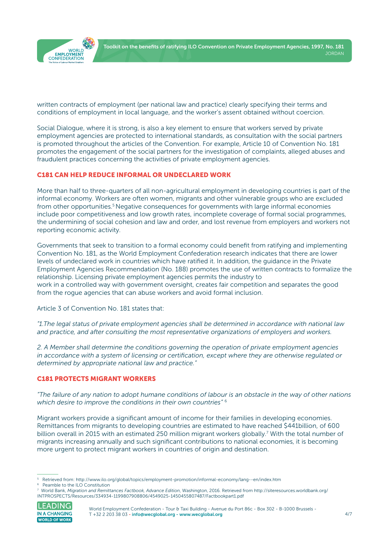

written contracts of employment (per national law and practice) clearly specifying their terms and conditions of employment in local language, and the worker's assent obtained without coercion.

Social Dialogue, where it is strong, is also a key element to ensure that workers served by private employment agencies are protected to international standards, as consultation with the social partners is promoted throughout the articles of the Convention. For example, Article 10 of Convention No. 181 promotes the engagement of the social partners for the investigation of complaints, alleged abuses and fraudulent practices concerning the activities of private employment agencies.

#### C181 CAN HELP REDUCE INFORMAL OR UNDECLARED WORK

More than half to three-quarters of all non-agricultural employment in developing countries is part of the informal economy. Workers are often women, migrants and other vulnerable groups who are excluded from other opportunities.<sup>5</sup> Negative consequences for governments with large informal economies include poor competitiveness and low growth rates, incomplete coverage of formal social programmes, the undermining of social cohesion and law and order, and lost revenue from employers and workers not reporting economic activity.

Governments that seek to transition to a formal economy could benefit from ratifying and implementing Convention No. 181, as the World Employment Confederation research indicates that there are lower levels of undeclared work in countries which have ratified it. In addition, the guidance in the Private Employment Agencies Recommendation (No. 188) promotes the use of written contracts to formalize the relationship. Licensing private employment agencies permits the industry to work in a controlled way with government oversight, creates fair competition and separates the good from the rogue agencies that can abuse workers and avoid formal inclusion.

Article 3 of Convention No. 181 states that:

*"1.The legal status of private employment agencies shall be determined in accordance with national law and practice, and after consulting the most representative organizations of employers and workers.*

*2. A Member shall determine the conditions governing the operation of private employment agencies in accordance with a system of licensing or certification, except where they are otherwise regulated or determined by appropriate national law and practice."*

#### C181 PROTECTS MIGRANT WORKERS

*"The failure of any nation to adopt humane conditions of labour is an obstacle in the way of other nations which desire to improve the conditions in their own countries"* <sup>6</sup>

Migrant workers provide a significant amount of income for their families in developing economies. Remittances from migrants to developing countries are estimated to have reached \$441billion, of 600 billion overall in 2015 with an estimated 250 million migrant workers globally.<sup>7</sup> With the total number of migrants increasing annually and such significant contributions to national economies, it is becoming more urgent to protect migrant workers in countries of origin and destination.

<sup>7</sup> World Bank, *Migration and Remittances Factbook, Advance Edition*, Washington, 2016. Retrieved from [http://siteresources.worldbank.org/](http://siteresources.worldbank.org/INTPROSPECTS/Resources/334934-1199807908806/4549025-1450455807487) [INTPROSPECTS/Resources/334934-1199807908806/4549025-1450455807487/Factbookpart1.pdf](http://siteresources.worldbank.org/INTPROSPECTS/Resources/334934-1199807908806/4549025-1450455807487) 



World Employment Confederation - Tour & Taxi Building - Avenue du Port 86c - Box 302 - B-1000 Brussels -T +32 2 203 38 03 [- info@wecglobal.org](mailto:info%40wecglobal.org?subject=) - [www.wecglobal.org](http://www.wecglobal.org)

<sup>5</sup> Retrieved from:<http://www.ilo.org/global/topics/employment-promotion/informal-economy/lang--en/index.htm>

<sup>6</sup> Peamble to the ILO Constitution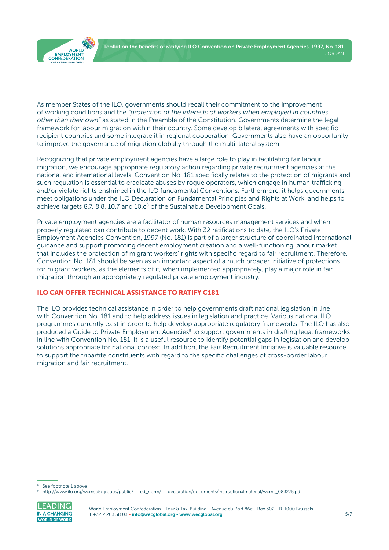



As member States of the ILO, governments should recall their commitment to the improvement of working conditions and the *"protection of the interests of workers when employed in countries other than their own"* as stated in the Preamble of the Constitution. Governments determine the legal framework for labour migration within their country. Some develop bilateral agreements with specific recipient countries and some integrate it in regional cooperation. Governments also have an opportunity to improve the governance of migration globally through the multi-lateral system.

Recognizing that private employment agencies have a large role to play in facilitating fair labour migration, we encourage appropriate regulatory action regarding private recruitment agencies at the national and international levels. Convention No. 181 specifically relates to the protection of migrants and such regulation is essential to eradicate abuses by rogue operators, which engage in human trafficking and/or violate rights enshrined in the ILO fundamental Conventions. Furthermore, it helps governments meet obligations under the ILO Declaration on Fundamental Principles and Rights at Work, and helps to achieve targets 8.7, 8.8, 10.7 and  $10.c<sup>8</sup>$  of the Sustainable Development Goals.

Private employment agencies are a facilitator of human resources management services and when properly regulated can contribute to decent work. With 32 ratifications to date, the ILO's Private Employment Agencies Convention, 1997 (No. 181) is part of a larger structure of coordinated international guidance and support promoting decent employment creation and a well-functioning labour market that includes the protection of migrant workers' rights with specific regard to fair recruitment. Therefore, Convention No. 181 should be seen as an important aspect of a much broader initiative of protections for migrant workers, as the elements of it, when implemented appropriately, play a major role in fair migration through an appropriately regulated private employment industry.

### ILO CAN OFFER TECHNICAL ASSISTANCE TO RATIFY C181

The ILO provides technical assistance in order to help governments draft national legislation in line with Convention No. 181 and to help address issues in legislation and practice. Various national ILO programmes currently exist in order to help develop appropriate regulatory frameworks. The ILO has also produced a Guide to Private Employment Agencies<sup>9</sup> to support governments in drafting legal frameworks in line with Convention No. 181. It is a useful resource to identify potential gaps in legislation and develop solutions appropriate for national context. In addition, the Fair Recruitment Initiative is valuable resource to support the tripartite constituents with regard to the specific challenges of cross-border labour migration and fair recruitment.

<sup>9</sup> [http://www.ilo.org/wcmsp5/groups/public/---ed\\_norm/---declaration/documents/instructionalmaterial/wcms\\_083275.pdf](http://www.ilo.org/wcmsp5/groups/public/---ed_norm/---declaration/documents/instructionalmaterial/wcms_083275.pdf)



See footnote 1 above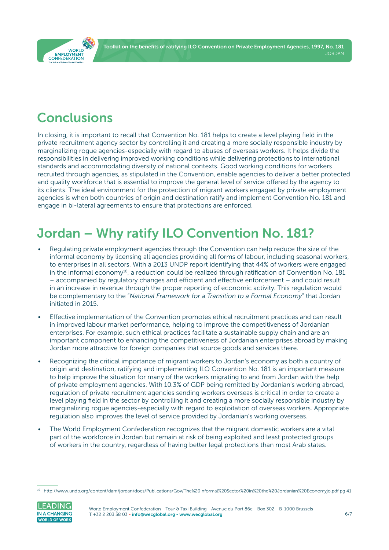Toolkit on the benefits of ratifying ILO Convention on Private Employment Agencies, 1997, No. 181 JORDAN

<span id="page-5-0"></span>

# Conclusions

In closing, it is important to recall that Convention No. 181 helps to create a level playing field in the private recruitment agency sector by controlling it and creating a more socially responsible industry by marginalizing rogue agencies-especially with regard to abuses of overseas workers. It helps divide the responsibilities in delivering improved working conditions while delivering protections to international standards and accommodating diversity of national contexts. Good working conditions for workers recruited through agencies, as stipulated in the Convention, enable agencies to deliver a better protected and quality workforce that is essential to improve the general level of service offered by the agency to its clients. The ideal environment for the protection of migrant workers engaged by private employment agencies is when both countries of origin and destination ratify and implement Convention No. 181 and engage in bi-lateral agreements to ensure that protections are enforced.

# Jordan – Why ratify ILO Convention No. 181?

- Regulating private employment agencies through the Convention can help reduce the size of the informal economy by licensing all agencies providing all forms of labour, including seasonal workers, to enterprises in all sectors. With a 2013 UNDP report identifying that 44% of workers were engaged in the informal economy<sup>10</sup>, a reduction could be realized through ratification of Convention No. 181 – accompanied by regulatory changes and efficient and effective enforcement – and could result in an increase in revenue through the proper reporting of economic activity. This regulation would be complementary to the "*National Framework for a Transition to a Formal Economy*" that Jordan initiated in 2015.
- Effective implementation of the Convention promotes ethical recruitment practices and can result in improved labour market performance, helping to improve the competitiveness of Jordanian enterprises. For example, such ethical practices facilitate a sustainable supply chain and are an important component to enhancing the competitiveness of Jordanian enterprises abroad by making Jordan more attractive for foreign companies that source goods and services there.
- Recognizing the critical importance of migrant workers to Jordan's economy as both a country of origin and destination, ratifying and implementing ILO Convention No. 181 is an important measure to help improve the situation for many of the workers migrating to and from Jordan with the help of private employment agencies. With 10.3% of GDP being remitted by Jordanian's working abroad, regulation of private recruitment agencies sending workers overseas is critical in order to create a level playing field in the sector by controlling it and creating a more socially responsible industry by marginalizing rogue agencies-especially with regard to exploitation of overseas workers. Appropriate regulation also improves the level of service provided by Jordanian's working overseas.
- The World Employment Confederation recognizes that the migrant domestic workers are a vital part of the workforce in Jordan but remain at risk of being exploited and least protected groups of workers in the country, regardless of having better legal protections than most Arab states.

<sup>10</sup> <http://www.undp.org/content/dam/jordan/docs/Publications/Gov/The%20Informal%20Sector%20in%20the%20Jordanian%20Economyjo.pdf> pg 41